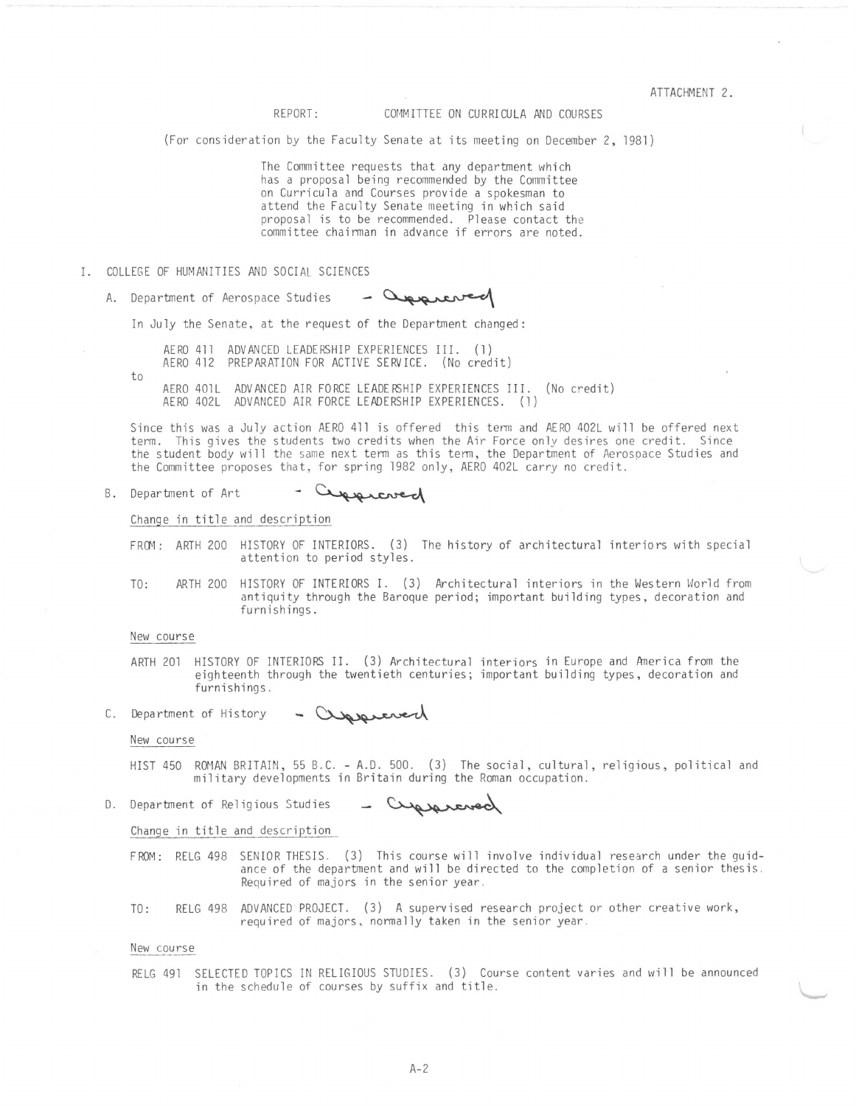REPORT: COMMITTEE ON CURRICULA AND COURSES

(For consideration by the Faculty Senate at its meeting on December 2, 1981)

The Committee requests that any department which has a proposal being recommended by the Committee on Curricula and Courses provide a spokesman to attend the Faculty Senate meeting in which said proposal is to be recommended. Please contact the committee chairman in advance if errors are noted.

- I. COLLEGE OF HUMANITIES AND SOCIAL SCIENCES
	- A. Department of Aerospace Studies porco

In July the Senate, at the request of the Department changed:

- AERO 411 ADVANCED LEADERSHIP EXPERIENCES III. (1) AERO 412 PREPARATION FOR ACTIVE SERVICE. (No credit)
- to
- AERO 401L ADVANCED AIR FORCE LEADERSHIP EXPERIENCES III. (No credit) AERO 402L ADVANCED AIR FORCE LEADERSHIP EXPERIENCES. (1)

Since this was a July action AERO 411 is offered this term and AERO 402L will be offered next term. This gives the students two credits when the Air Force only desires one credit. Since the student body will the same next term as this tenn, the Department of Aerospace Studies and the Committee proposes that, for spring 1982 only, AERO 402L carry no credit.

#### - Cuppreved B. Department of Art

Change in title and description

- FRCM: ARTH 200 HISTORY OF INTERIORS. (3) The history of architectural interiors with special attention to period styles.
- TO: ARTH 200 HISTORY OF INTERIORS I. (3) Architectural interiors in the Western World from antiquity through the Baroque period; important building types, decoration and furnishings.

### New course

ARTH 201 HISTORY OF INTERIORS II. (3) Architectural interiors in Europe and Anerica from the eighteenth through the twentieth centuries; important building types, decoration and furnishings.<br>
of History - Current decoration and and the strategy of History - Current decoration and the History - Current decoration a furnishings.

C. Department

# New course

- HIST 450 ROMAN BRITAIN, 55 B.C. A.O. 500. (3) The social, cultural, religious, political and military developments in Britain during the Roman occupation.
- 0. Department of Religious Studies - Cypsercred

Change in title and description

- FROM: RELG 498 SENIOR THESIS. (3) This course will involve individual research under the guidance of the department and will be directed to the completion of a senior thesis. Required of majors in the senior year.
- TO: RELG 498 ADVANCED PROJECT. (3) A supervised research project or other creative work, required of majors, normally taken in the senior year .

## New course

RELG 491 SELECTED TOPICS IN RELIGIOUS STUDIES. (3) Course content varies and will be announced in the schedule of courses by suffix and title.